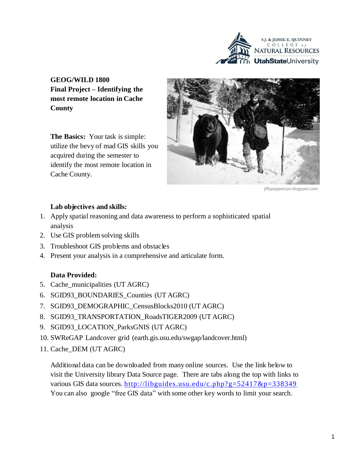

**GEOG/WILD 1800 Final Project – Identifying the most remote location in Cache County** 

**The Basics:** Your task is simple: utilize the bevy of mad GIS skills you acquired during the semester to identify the most remote location in Cache County.



jiffypopperson.blogspot.com

#### **Lab objectives and skills:**

- 1. Apply spatial reasoning and data awareness to perform a sophisticated spatial analysis
- 2. Use GIS problem solving skills
- 3. Troubleshoot GIS problems and obstacles
- 4. Present your analysis in a comprehensive and articulate form.

#### **Data Provided:**

- 5. Cache\_municipalities (UT AGRC)
- 6. SGID93\_BOUNDARIES\_Counties (UT AGRC)
- 7. SGID93\_DEMOGRAPHIC\_CensusBlocks2010 (UT AGRC)
- 8. SGID93\_TRANSPORTATION\_RoadsTIGER2009 (UT AGRC)
- 9. SGID93\_LOCATION\_ParksGNIS (UT AGRC)
- 10. SWReGAP Landcover grid (earth.gis.usu.edu/swgap/landcover.html)
- 11. Cache\_DEM (UT AGRC)

Additional data can be downloaded from many online sources. Use the link below to visit the University library Data Source page. There are tabs along the top with links to various GIS data sources. <http://libguides.usu.edu/c.php?g=52417&p=338349> You can also google "free GIS data" with some other key words to limit your search.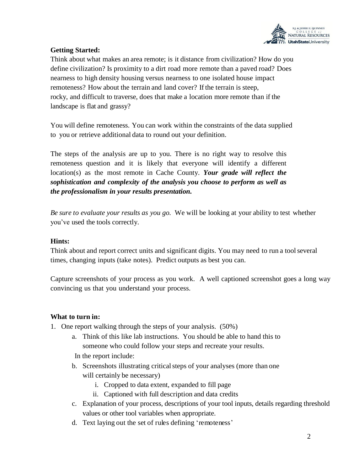

# **Getting Started:**

Think about what makes an area remote; is it distance from civilization? How do you define civilization? Is proximity to a dirt road more remote than a paved road? Does nearness to high density housing versus nearness to one isolated house impact remoteness? How about the terrain and land cover? If the terrain is steep, rocky, and difficult to traverse, does that make a location more remote than if the landscape is flat and grassy?

You will define remoteness. You can work within the constraints of the data supplied to you or retrieve additional data to round out your definition.

The steps of the analysis are up to you. There is no right way to resolve this remoteness question and it is likely that everyone will identify a different location(s) as the most remote in Cache County. *Your grade will reflect the sophistication and complexity of the analysis you choose to perform as well as the professionalism in your results presentation.*

*Be sure to evaluate your results as you go.* We will be looking at your ability to test whether you've used the tools correctly.

## **Hints:**

Think about and report correct units and significant digits. You may need to run a toolseveral times, changing inputs (take notes). Predict outputs as best you can.

Capture screenshots of your process as you work. A well captioned screenshot goes a long way convincing us that you understand your process.

## **What to turn in:**

- 1. One report walking through the steps of your analysis. (50%)
	- a. Think of this like lab instructions. You should be able to hand this to someone who could follow your steps and recreate your results.
	- In the report include:
	- b. Screenshots illustrating critical steps of your analyses (more than one will certainly be necessary)
		- i. Cropped to data extent, expanded to fill page
		- ii. Captioned with full description and data credits
	- c. Explanation of your process, descriptions of your tool inputs, details regarding threshold values or other tool variables when appropriate.
	- d. Text laying out the set of rules defining 'remoteness'